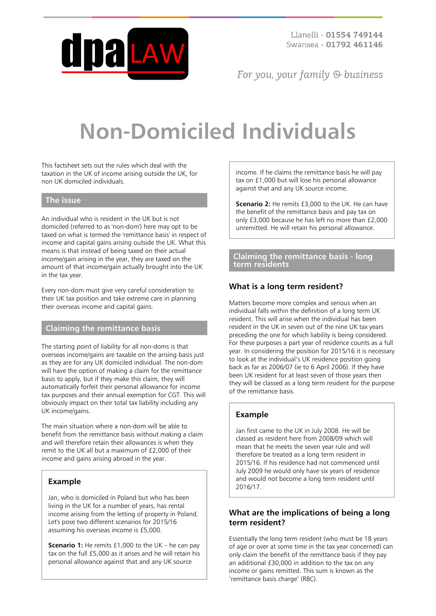

For you, your family  $\odot$  business

# **Non-Domiciled Individuals**

This factsheet sets out the rules which deal with the taxation in the UK of income arising outside the UK, for non UK domiciled individuals.

#### **The issue**

An individual who is resident in the UK but is not domiciled (referred to as 'non-dom') here may opt to be taxed on what is termed the 'remittance basis' in respect of income and capital gains arising outside the UK. What this means is that instead of being taxed on their actual income/gain arising in the year, they are taxed on the amount of that income/gain actually brought into the UK in the tax year.

Every non-dom must give very careful consideration to their UK tax position and take extreme care in planning their overseas income and capital gains.

## **Claiming the remittance basis**

The starting point of liability for all non-doms is that overseas income/gains are taxable on the arising basis just as they are for any UK domiciled individual. The non-dom will have the option of making a claim for the remittance basis to apply, but if they make this claim, they will automatically forfeit their personal allowance for income tax purposes and their annual exemption for CGT. This will obviously impact on their total tax liability including any UK income/gains.

The main situation where a non-dom will be able to benefit from the remittance basis without making a claim and will therefore retain their allowances is when they remit to the UK all but a maximum of £2,000 of their income and gains arising abroad in the year.

## **Example**

Jan, who is domiciled in Poland but who has been living in the UK for a number of years, has rental income arising from the letting of property in Poland. Let's pose two different scenarios for 2015/16 assuming his overseas income is £5,000.

**Scenario 1:** He remits £1,000 to the UK – he can pay tax on the full £5,000 as it arises and he will retain his personal allowance against that and any UK source

income. If he claims the remittance basis he will pay tax on £1,000 but will lose his personal allowance against that and any UK source income.

**Scenario 2:** He remits £3,000 to the UK. He can have the benefit of the remittance basis and pay tax on only £3,000 because he has left no more than £2,000 unremitted. He will retain his personal allowance.

**Claiming the remittance basis - long term residents**

## **What is a long term resident?**

Matters become more complex and serious when an individual falls within the definition of a long term UK resident. This will arise when the individual has been resident in the UK in seven out of the nine UK tax years preceding the one for which liability is being considered. For these purposes a part year of residence counts as a full year. In considering the position for 2015/16 it is necessary to look at the individual's UK residence position going back as far as 2006/07 (ie to 6 April 2006). If they have been UK resident for at least seven of those years then they will be classed as a long term resident for the purpose of the remittance basis.

## **Example**

Jan first came to the UK in July 2008. He will be classed as resident here from 2008/09 which will mean that he meets the seven year rule and will therefore be treated as a long term resident in 2015/16. If his residence had not commenced until July 2009 he would only have six years of residence and would not become a long term resident until 2016/17.

#### **What are the implications of being a long term resident?**

Essentially the long term resident (who must be 18 years of age or over at some time in the tax year concerned) can only claim the benefit of the remittance basis if they pay an additional £30,000 in addition to the tax on any income or gains remitted. This sum is known as the 'remittance basis charge' (RBC).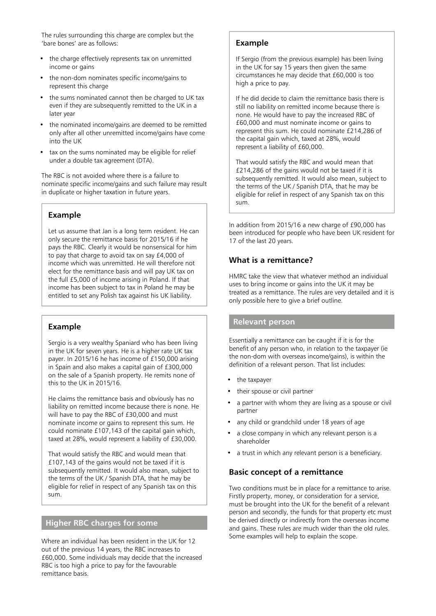The rules surrounding this charge are complex but the 'bare bones' are as follows:

- the charge effectively represents tax on unremitted income or gains
- the non-dom nominates specific income/gains to represent this charge
- the sums nominated cannot then be charged to UK tax even if they are subsequently remitted to the UK in a later year
- the nominated income/gains are deemed to be remitted only after all other unremitted income/gains have come into the UK
- tax on the sums nominated may be eligible for relief under a double tax agreement (DTA).

The RBC is not avoided where there is a failure to nominate specific income/gains and such failure may result in duplicate or higher taxation in future years.

#### **Example**

Let us assume that Jan is a long term resident. He can only secure the remittance basis for 2015/16 if he pays the RBC. Clearly it would be nonsensical for him to pay that charge to avoid tax on say £4,000 of income which was unremitted. He will therefore not elect for the remittance basis and will pay UK tax on the full £5,000 of income arising in Poland. If that income has been subject to tax in Poland he may be entitled to set any Polish tax against his UK liability.

## **Example**

Sergio is a very wealthy Spaniard who has been living in the UK for seven years. He is a higher rate UK tax payer. In 2015/16 he has income of £150,000 arising in Spain and also makes a capital gain of £300,000 on the sale of a Spanish property. He remits none of this to the UK in 2015/16.

He claims the remittance basis and obviously has no liability on remitted income because there is none. He will have to pay the RBC of £30,000 and must nominate income or gains to represent this sum. He could nominate £107,143 of the capital gain which, taxed at 28%, would represent a liability of £30,000.

That would satisfy the RBC and would mean that £107,143 of the gains would not be taxed if it is subsequently remitted. It would also mean, subject to the terms of the UK / Spanish DTA, that he may be eligible for relief in respect of any Spanish tax on this sum.

#### **Higher RBC charges for some**

Where an individual has been resident in the UK for 12 out of the previous 14 years, the RBC increases to £60,000. Some individuals may decide that the increased RBC is too high a price to pay for the favourable remittance basis.

## **Example**

If Sergio (from the previous example) has been living in the UK for say 15 years then given the same circumstances he may decide that £60,000 is too high a price to pay.

If he did decide to claim the remittance basis there is still no liability on remitted income because there is none. He would have to pay the increased RBC of £60,000 and must nominate income or gains to represent this sum. He could nominate £214,286 of the capital gain which, taxed at 28%, would represent a liability of £60,000.

That would satisfy the RBC and would mean that £214,286 of the gains would not be taxed if it is subsequently remitted. It would also mean, subject to the terms of the UK / Spanish DTA, that he may be eligible for relief in respect of any Spanish tax on this sum.

In addition from 2015/16 a new charge of £90,000 has been introduced for people who have been UK resident for 17 of the last 20 years.

## **What is a remittance?**

HMRC take the view that whatever method an individual uses to bring income or gains into the UK it may be treated as a remittance. The rules are very detailed and it is only possible here to give a brief outline.

#### **Relevant person**

Essentially a remittance can be caught if it is for the benefit of any person who, in relation to the taxpayer (ie the non-dom with overseas income/gains), is within the definition of a relevant person. That list includes:

- the taxpayer
- their spouse or civil partner
- a partner with whom they are living as a spouse or civil partner
- any child or grandchild under 18 years of age
- a close company in which any relevant person is a shareholder
- a trust in which any relevant person is a beneficiary.

#### **Basic concept of a remittance**

Two conditions must be in place for a remittance to arise. Firstly property, money, or consideration for a service, must be brought into the UK for the benefit of a relevant person and secondly, the funds for that property etc must be derived directly or indirectly from the overseas income and gains. These rules are much wider than the old rules. Some examples will help to explain the scope.